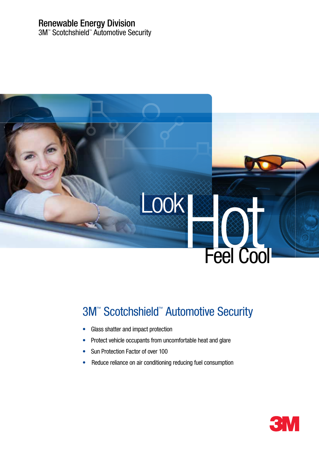# Renewable Energy Division

3M™ Scotchshield™ Automotive Security



# **3M<sup>™</sup> Scotchshield<sup>™</sup> Automotive Security**

- Glass shatter and impact protection
- Protect vehicle occupants from uncomfortable heat and glare
- Sun Protection Factor of over 100
- Reduce reliance on air conditioning reducing fuel consumption